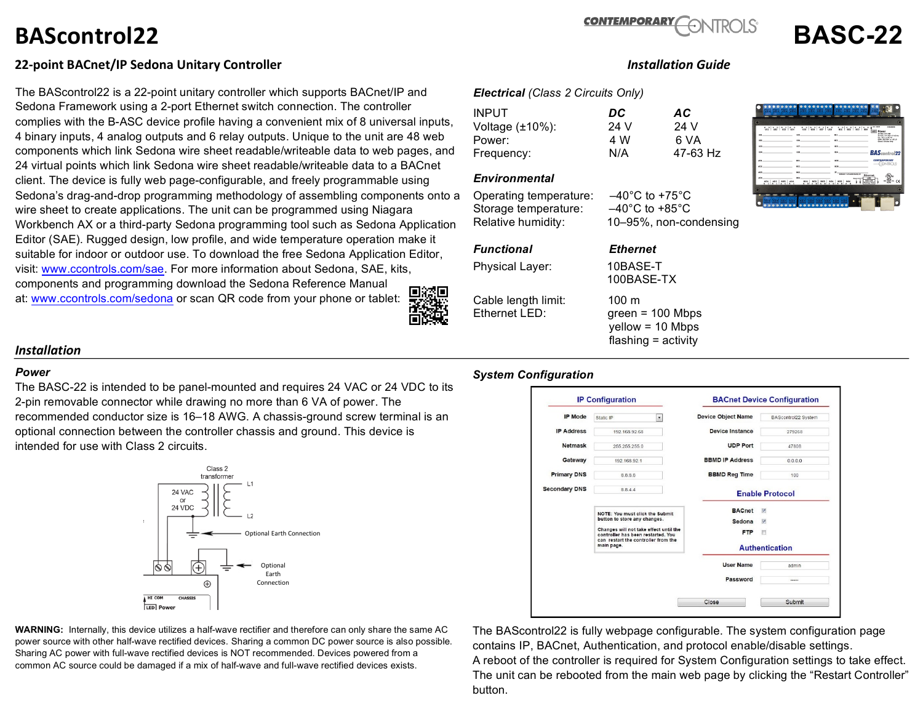# **BAScontrol22 BASC-22**



# **22-point BACnet/IP Sedona Unitary Controller** *Installation Guide*

The BAScontrol22 is a 22-point unitary controller which supports BACnet/IP and Sedona Framework using a 2-port Ethernet switch connection. The controller complies with the B-ASC device profile having a convenient mix of 8 universal inputs, 4 binary inputs, 4 analog outputs and 6 relay outputs. Unique to the unit are 48 web components which link Sedona wire sheet readable/writeable data to web pages, and 24 virtual points which link Sedona wire sheet readable/writeable data to a BACnet client. The device is fully web page-configurable, and freely programmable using Sedona's drag-and-drop programming methodology of assembling components onto a wire sheet to create applications. The unit can be programmed using Niagara Workbench AX or a third-party Sedona programming tool such as Sedona Application Editor (SAE). Rugged design, low profile, and wide temperature operation make it suitable for indoor or outdoor use. To download the free Sedona Application Editor, visit: www.ccontrols.com/sae. For more information about Sedona, SAE, kits, components and programming download the Sedona Reference Manual 興演興 at: www.ccontrols.com/sedona or scan QR code from your phone or tablet:



## *Electrical (Class 2 Circuits Only)*

| INPUT.                 | DC   | AC       |
|------------------------|------|----------|
| Voltage $(\pm 10\%)$ : | 24 V | 24 V     |
| Power:                 | 4 W  | 6 VA     |
| Frequency:             | N/A  | 47-63 Hz |

### *Environmental*

Operating temperature: –40°C to +75°C Storage temperature: –40°C to +85°C Relative humidity: 10–95%, non-condensing

# *Functional Ethernet*

Physical Layer: 10BASE-T

Cable length limit: 100 m Ethernet LED: green = 100 Mbps



 100BASE-TX yellow = 10 Mbps flashing = activity

# *Installation*

#### *Power*

The BASC-22 is intended to be panel-mounted and requires 24 VAC or 24 VDC to its 2-pin removable connector while drawing no more than 6 VA of power. The recommended conductor size is 16–18 AWG. A chassis-ground screw terminal is an optional connection between the controller chassis and ground. This device is intended for use with Class 2 circuits.



**WARNING:** Internally, this device utilizes a half-wave rectifier and therefore can only share the same AC power source with other half-wave rectified devices. Sharing a common DC power source is also possible. Sharing AC power with full-wave rectified devices is NOT recommended. Devices powered from a common AC source could be damaged if a mix of half-wave and full-wave rectified devices exists.

### *System Configuration*

| <b>IP Mode</b>       | Static IP                                                                                                                                                                                            | $\overline{\phantom{a}}$ | <b>Device Object Name</b> | BAScontrol22 System                    |
|----------------------|------------------------------------------------------------------------------------------------------------------------------------------------------------------------------------------------------|--------------------------|---------------------------|----------------------------------------|
| <b>IP Address</b>    | 192.168.92.68                                                                                                                                                                                        |                          | <b>Device Instance</b>    | 279268                                 |
| <b>Netmask</b>       | 255.255.255.0                                                                                                                                                                                        |                          | <b>UDP Port</b>           | 47808                                  |
| Gateway              | 192.168.92.1                                                                                                                                                                                         |                          | <b>BBMD IP Address</b>    | 0.0.0.0                                |
| <b>Primary DNS</b>   | 8888                                                                                                                                                                                                 |                          | <b>BBMD Reg Time</b>      | 100                                    |
| <b>Secondary DNS</b> | 8844                                                                                                                                                                                                 |                          | <b>Enable Protocol</b>    |                                        |
|                      | NOTE: You must click the Submit<br>button to store any changes.<br>Changes will not take effect until the<br>controller has been restarted. You<br>can restart the controller from the<br>main page. |                          | <b>BACnet</b>             | $\overline{\mathbf{v}}$                |
|                      |                                                                                                                                                                                                      |                          | Sedona                    | $\overline{\mathsf{v}}$                |
|                      |                                                                                                                                                                                                      |                          | <b>FTP</b>                | $\begin{array}{c} \square \end{array}$ |
|                      |                                                                                                                                                                                                      |                          | <b>Authentication</b>     |                                        |
|                      |                                                                                                                                                                                                      |                          | <b>User Name</b>          | admin                                  |
|                      |                                                                                                                                                                                                      |                          | Password                  |                                        |
|                      |                                                                                                                                                                                                      |                          | Close                     | <b>Submit</b>                          |

The BAScontrol22 is fully webpage configurable. The system configuration page contains IP, BACnet, Authentication, and protocol enable/disable settings. A reboot of the controller is required for System Configuration settings to take effect. The unit can be rebooted from the main web page by clicking the "Restart Controller" button.